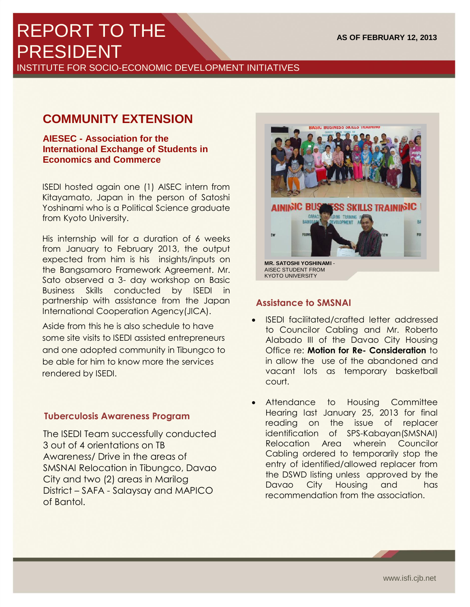# REPORT TO THE PRESIDENT

INSTITUTE FOR SOCIO-ECONOMIC DEVELOPMENT INITIATIVES

# **COMMUNITY EXTENSION**

**AIESEC - Association for the International Exchange of Students in Economics and Commerce**

ISEDI hosted again one (1) AISEC intern from Kitayamato, Japan in the person of Satoshi Yoshinami who is a Political Science graduate from Kyoto University.

His internship will for a duration of 6 weeks from January to February 2013, the output expected from him is his insights/inputs on the Bangsamoro Framework Agreement. Mr. Sato observed a 3- day workshop on Basic Business Skills conducted by ISEDI in partnership with assistance from the Japan International Cooperation Agency(JICA).

Aside from this he is also schedule to have some site visits to ISEDI assisted entrepreneurs and one adopted community in Tibungco to be able for him to know more the services rendered by ISEDI.

## **Tuberculosis Awareness Program**

**1 |** P a g e

The ISEDI Team successfully conducted 3 out of 4 orientations on TB Awareness/ Drive in the areas of SMSNAI Relocation in Tibungco, Davao City and two (2) areas in Marilog District – SAFA - Salaysay and MAPICO of Bantol.



# **Assistance to SMSNAI**

- ISEDI facilitated/crafted letter addressed to Councilor Cabling and Mr. Roberto Alabado III of the Davao City Housing Office re: **Motion for Re- Consideration** to in allow the use of the abandoned and vacant lots as temporary basketball court.
- Attendance to Housing Committee Hearing last January 25, 2013 for final reading on the issue of replacer identification of SPS-Kabayan(SMSNAI) Relocation Area wherein Councilor Cabling ordered to temporarily stop the entry of identified/allowed replacer from the DSWD listing unless approved by the Davao City Housing and has recommendation from the association.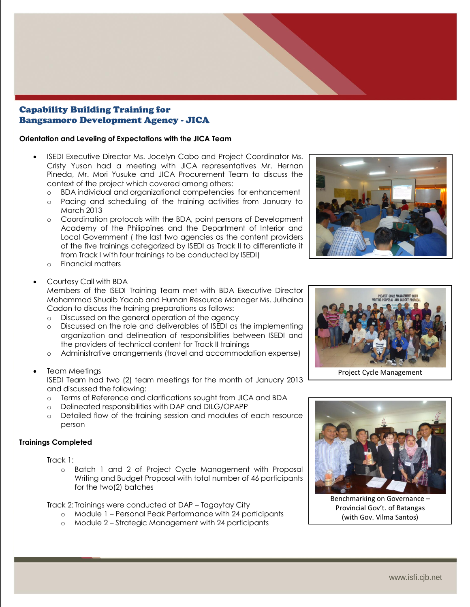#### Capability Building Training for Bangsamoro Development Agency - JICA

#### **Orientation and Leveling of Expectations with the JICA Team**

- ISEDI Executive Director Ms. Jocelyn Cabo and Project Coordinator Ms. Cristy Yuson had a meeting with JICA representatives Mr. Hernan Pineda, Mr. Mori Yusuke and JICA Procurement Team to discuss the context of the project which covered among others:
	- o BDA individual and organizational competencies for enhancement
	- o Pacing and scheduling of the training activities from January to March 2013
	- o Coordination protocols with the BDA, point persons of Development Academy of the Philippines and the Department of Interior and Local Government ( the last two agencies as the content providers of the five trainings categorized by ISEDI as Track II to differentiate it from Track I with four trainings to be conducted by ISEDI)
	- o Financial matters

#### Courtesy Call with BDA

Members of the ISEDI Training Team met with BDA Executive Director Mohammad Shuaib Yacob and Human Resource Manager Ms. Julhaina Cadon to discuss the training preparations as follows:

- o Discussed on the general operation of the agency
- o Discussed on the role and deliverables of ISEDI as the implementing organization and delineation of responsibilities between ISEDI and the providers of technical content for Track II trainings
- o Administrative arrangements (travel and accommodation expense)
- Team Meetings

ISEDI Team had two (2) team meetings for the month of January 2013 and discussed the following:

- o Terms of Reference and clarifications sought from JICA and BDA
- o Delineated responsibilities with DAP and DILG/OPAPP
- o Detailed flow of the training session and modules of each resource person

#### **Trainings Completed**

Track 1:

**2 |** P a g e

o Batch 1 and 2 of Project Cycle Management with Proposal Writing and Budget Proposal with total number of 46 participants for the two(2) batches

Track 2: Trainings were conducted at DAP – Tagaytay City

- o Module 1 Personal Peak Performance with 24 participants
- o Module 2 Strategic Management with 24 participants





Project Cycle Management



Benchmarking on Governance – Provincial Gov't. of Batangas (with Gov. Vilma Santos)